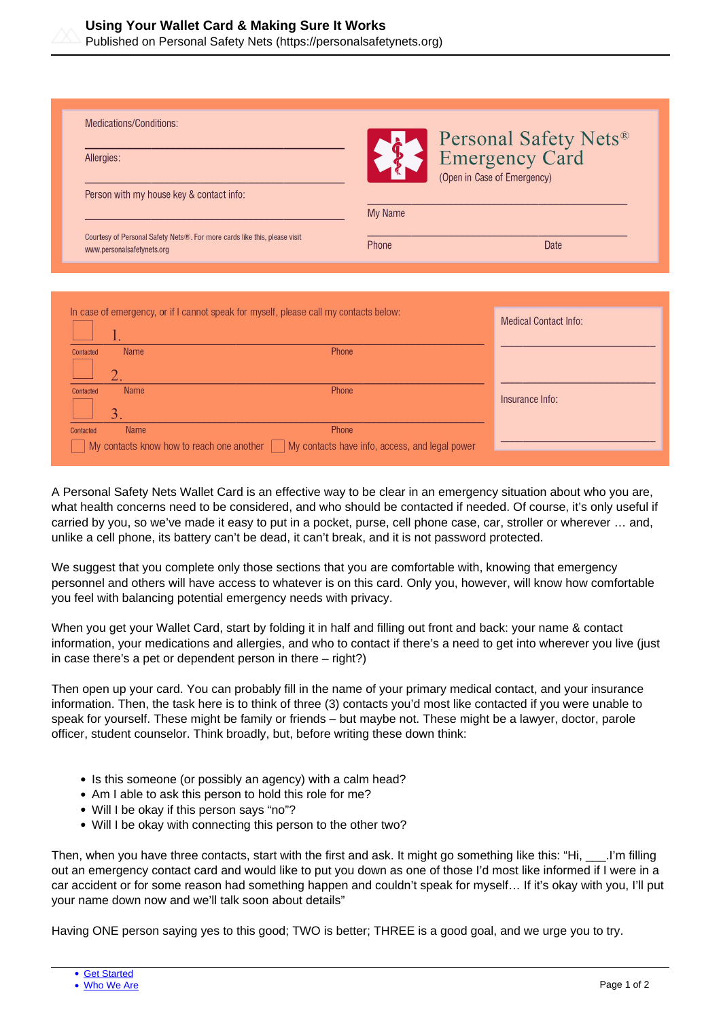

Published on Personal Safety Nets (https://personalsafetynets.org)

| Medications/Conditions:<br>Allergies:                                                                   |                | Personal Safety Nets <sup>®</sup><br>Emergency Card<br>(Open in Case of Emergency) |
|---------------------------------------------------------------------------------------------------------|----------------|------------------------------------------------------------------------------------|
| Person with my house key & contact info:                                                                | <b>My Name</b> |                                                                                    |
| Courtesy of Personal Safety Nets®. For more cards like this, please visit<br>www.personalsafetynets.org | Phone          | Date                                                                               |

|           |              | In case of emergency, or if I cannot speak for myself, please call my contacts below:                                  | <b>Medical Contact Info:</b> |
|-----------|--------------|------------------------------------------------------------------------------------------------------------------------|------------------------------|
| Contacted | <b>Name</b>  | Phone                                                                                                                  |                              |
|           |              |                                                                                                                        |                              |
| Contacted | <b>Name</b>  | Phone                                                                                                                  | Insurance Info:              |
|           | $\mathbf{3}$ |                                                                                                                        |                              |
| Contacted | <b>Name</b>  | Phone                                                                                                                  |                              |
|           |              | $\blacksquare$ My contacts know how to reach one another $\blacksquare$ My contacts have info, access, and legal power |                              |

A Personal Safety Nets Wallet Card is an effective way to be clear in an emergency situation about who you are, what health concerns need to be considered, and who should be contacted if needed. Of course, it's only useful if carried by you, so we've made it easy to put in a pocket, purse, cell phone case, car, stroller or wherever … and, unlike a cell phone, its battery can't be dead, it can't break, and it is not password protected.

We suggest that you complete only those sections that you are comfortable with, knowing that emergency personnel and others will have access to whatever is on this card. Only you, however, will know how comfortable you feel with balancing potential emergency needs with privacy.

When you get your Wallet Card, start by folding it in half and filling out front and back: your name & contact information, your medications and allergies, and who to contact if there's a need to get into wherever you live (just in case there's a pet or dependent person in there – right?)

Then open up your card. You can probably fill in the name of your primary medical contact, and your insurance information. Then, the task here is to think of three (3) contacts you'd most like contacted if you were unable to speak for yourself. These might be family or friends – but maybe not. These might be a lawyer, doctor, parole officer, student counselor. Think broadly, but, before writing these down think:

- Is this someone (or possibly an agency) with a calm head?
- Am I able to ask this person to hold this role for me?
- Will I be okay if this person says "no"?
- Will I be okay with connecting this person to the other two?

Then, when you have three contacts, start with the first and ask. It might go something like this: "Hi, \_\_\_.I'm filling out an emergency contact card and would like to put you down as one of those I'd most like informed if I were in a car accident or for some reason had something happen and couldn't speak for myself… If it's okay with you, I'll put your name down now and we'll talk soon about details"

Having ONE person saying yes to this good; TWO is better; THREE is a good goal, and we urge you to try.